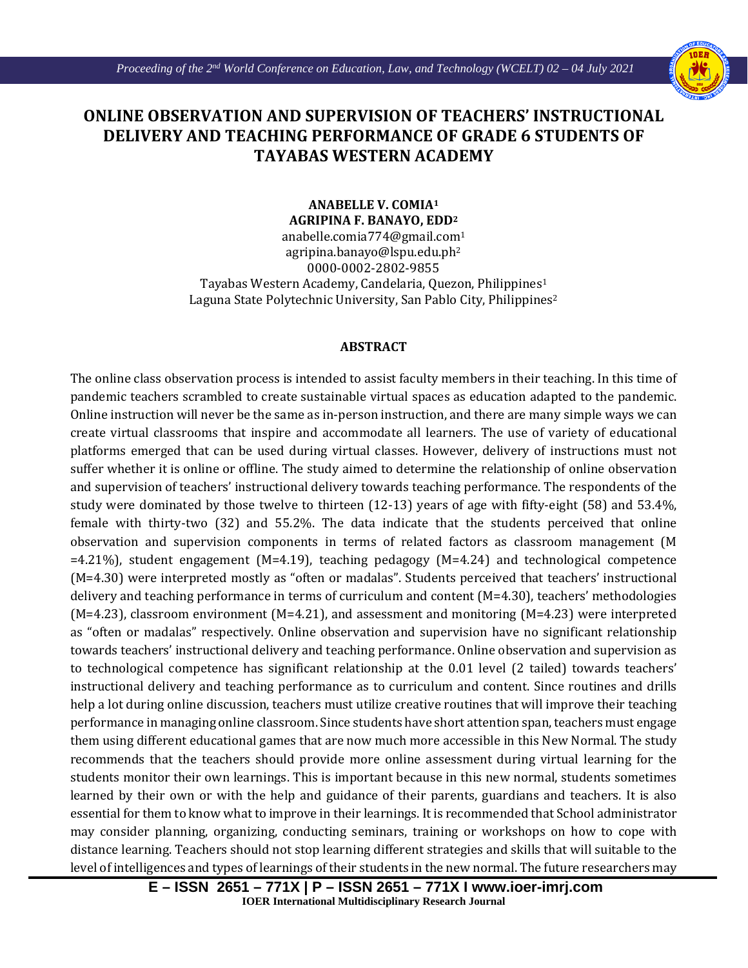Ι



## **ONLINE OBSERVATION AND SUPERVISION OF TEACHERS' INSTRUCTIONAL DELIVERY AND TEACHING PERFORMANCE OF GRADE 6 STUDENTS OF TAYABAS WESTERN ACADEMY**

**ANABELLE V. COMIA1 AGRIPINA F. BANAYO, EDD2**

anabelle.comia774@gmail.com1 agripina.banayo@lspu.edu.ph2 0000-0002-2802-9855 Tayabas Western Academy, Candelaria, Quezon, Philippines1 Laguna State Polytechnic University, San Pablo City, Philippines<sup>2</sup>

## **ABSTRACT**

The online class observation process is intended to assist faculty members in their teaching. In this time of pandemic teachers scrambled to create sustainable virtual spaces as education adapted to the pandemic. Online instruction will never be the same as in-person instruction, and there are many simple ways we can create virtual classrooms that inspire and accommodate all learners. The use of variety of educational platforms emerged that can be used during virtual classes. However, delivery of instructions must not suffer whether it is online or offline. The study aimed to determine the relationship of online observation and supervision of teachers' instructional delivery towards teaching performance. The respondents of the study were dominated by those twelve to thirteen (12-13) years of age with fifty-eight (58) and 53.4%, female with thirty-two (32) and 55.2%. The data indicate that the students perceived that online observation and supervision components in terms of related factors as classroom management (M =4.21%), student engagement (M=4.19), teaching pedagogy (M=4.24) and technological competence (M=4.30) were interpreted mostly as "often or madalas". Students perceived that teachers' instructional delivery and teaching performance in terms of curriculum and content (M=4.30), teachers' methodologies (M=4.23), classroom environment (M=4.21), and assessment and monitoring (M=4.23) were interpreted as "often or madalas" respectively. Online observation and supervision have no significant relationship towards teachers' instructional delivery and teaching performance. Online observation and supervision as to technological competence has significant relationship at the 0.01 level (2 tailed) towards teachers' instructional delivery and teaching performance as to curriculum and content. Since routines and drills help a lot during online discussion, teachers must utilize creative routines that will improve their teaching performance in managing online classroom. Since students have short attention span, teachers must engage them using different educational games that are now much more accessible in this New Normal. The study recommends that the teachers should provide more online assessment during virtual learning for the students monitor their own learnings. This is important because in this new normal, students sometimes learned by their own or with the help and guidance of their parents, guardians and teachers. It is also essential for them to know what to improve in their learnings. It is recommended that School administrator may consider planning, organizing, conducting seminars, training or workshops on how to cope with distance learning. Teachers should not stop learning different strategies and skills that will suitable to the level of intelligences and types of learnings of their students in the new normal. The future researchers may